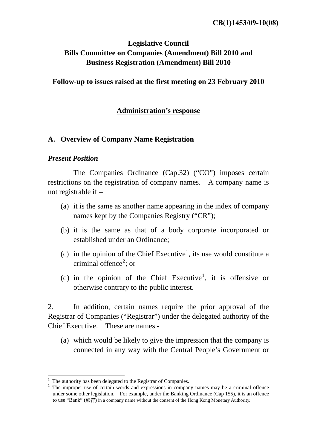# **Legislative Council Bills Committee on Companies (Amendment) Bill 2010 and Business Registration (Amendment) Bill 2010**

**Follow-up to issues raised at the first meeting on 23 February 2010** 

# **Administration's response**

# **A. Overview of Company Name Registration**

# *Present Position*

1

 The Companies Ordinance (Cap.32) ("CO") imposes certain restrictions on the registration of company names. A company name is not registrable if –

- (a) it is the same as another name appearing in the index of company names kept by the Companies Registry ("CR");
- (b) it is the same as that of a body corporate incorporated or established under an Ordinance;
- (c) in the opinion of the Chief Executive<sup>[1](#page-0-0)</sup>, its use would constitute a criminal offence<sup>[2](#page-0-1)</sup>; or
- (d) in the opinion of the Chief Executive<sup>[1](#page-0-2)</sup>, it is offensive or otherwise contrary to the public interest.

2. In addition, certain names require the prior approval of the Registrar of Companies ("Registrar") under the delegated authority of the Chief Executive. These are names -

(a) which would be likely to give the impression that the company is connected in any way with the Central People's Government or

<span id="page-0-0"></span><sup>1</sup> The authority has been delegated to the Registrar of Companies.

<span id="page-0-2"></span><span id="page-0-1"></span><sup>&</sup>lt;sup>2</sup> The improper use of certain words and expressions in company names may be a criminal offence under some other legislation. For example, under the Banking Ordinance (Cap 155), it is an offence to use "Bank" (銀行) in a company name without the consent of the Hong Kong Monetary Authority.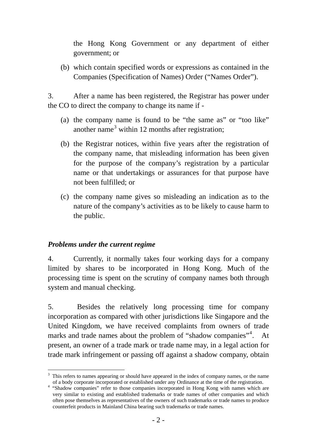the Hong Kong Government or any department of either government; or

(b) which contain specified words or expressions as contained in the Companies (Specification of Names) Order ("Names Order").

3. After a name has been registered, the Registrar has power under the CO to direct the company to change its name if -

- (a) the company name is found to be "the same as" or "too like" another name<sup>[3](#page-1-0)</sup> within 12 months after registration;
- (b) the Registrar notices, within five years after the registration of the company name, that misleading information has been given for the purpose of the company's registration by a particular name or that undertakings or assurances for that purpose have not been fulfilled; or
- (c) the company name gives so misleading an indication as to the nature of the company's activities as to be likely to cause harm to the public.

# *Problems under the current regime*

1

4. Currently, it normally takes four working days for a company limited by shares to be incorporated in Hong Kong. Much of the processing time is spent on the scrutiny of company names both through system and manual checking.

5. Besides the relatively long processing time for company incorporation as compared with other jurisdictions like Singapore and the United Kingdom, we have received complaints from owners of trade marks and trade names about the problem of "shadow companies"<sup>[4](#page-1-1)</sup>. At present, an owner of a trade mark or trade name may, in a legal action for trade mark infringement or passing off against a shadow company, obtain

<span id="page-1-0"></span><sup>&</sup>lt;sup>3</sup> This refers to names appearing or should have appeared in the index of company names, or the name

<span id="page-1-1"></span>of a body corporate incorporated or established under any Ordinance at the time of the registration.<br><sup>4</sup> "Shadow companies" refer to those companies incorporated in Hong Kong with names which are very similar to existing and established trademarks or trade names of other companies and which often pose themselves as representatives of the owners of such trademarks or trade names to produce counterfeit products in Mainland China bearing such trademarks or trade names.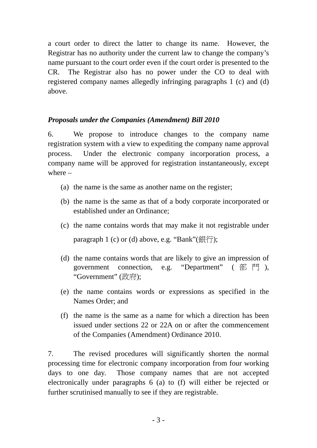a court order to direct the latter to change its name. However, the Registrar has no authority under the current law to change the company's name pursuant to the court order even if the court order is presented to the CR. The Registrar also has no power under the CO to deal with registered company names allegedly infringing paragraphs 1 (c) and (d) above.

# *Proposals under the Companies (Amendment) Bill 2010*

6. We propose to introduce changes to the company name registration system with a view to expediting the company name approval process. Under the electronic company incorporation process, a company name will be approved for registration instantaneously, except where –

- (a) the name is the same as another name on the register;
- (b) the name is the same as that of a body corporate incorporated or established under an Ordinance;
- (c) the name contains words that may make it not registrable under paragraph 1 (c) or (d) above, e.g. "Bank" $(\text{Rf})$ ;
- (d) the name contains words that are likely to give an impression of government connection, e.g. "Department" ( 部 門 ), "Government" (政府);
- (e) the name contains words or expressions as specified in the Names Order; and
- (f) the name is the same as a name for which a direction has been issued under sections 22 or 22A on or after the commencement of the Companies (Amendment) Ordinance 2010.

7. The revised procedures will significantly shorten the normal processing time for electronic company incorporation from four working days to one day. Those company names that are not accepted electronically under paragraphs 6 (a) to (f) will either be rejected or further scrutinised manually to see if they are registrable.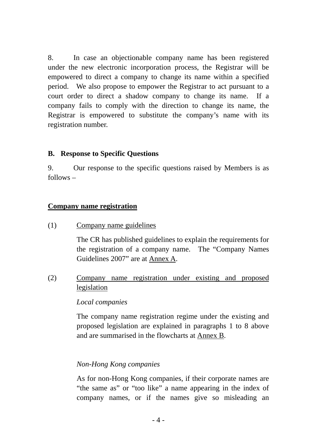8. In case an objectionable company name has been registered under the new electronic incorporation process, the Registrar will be empowered to direct a company to change its name within a specified period. We also propose to empower the Registrar to act pursuant to a court order to direct a shadow company to change its name. If a company fails to comply with the direction to change its name, the Registrar is empowered to substitute the company's name with its registration number.

# **B. Response to Specific Questions**

9. Our response to the specific questions raised by Members is as follows –

# **Company name registration**

(1) Company name guidelines

 The CR has published guidelines to explain the requirements for the registration of a company name. The "Company Names Guidelines 2007" are at Annex A.

(2) Company name registration under existing and proposed legislation

# *Local companies*

 The company name registration regime under the existing and proposed legislation are explained in paragraphs 1 to 8 above and are summarised in the flowcharts at Annex B.

# *Non-Hong Kong companies*

As for non-Hong Kong companies, if their corporate names are "the same as" or "too like" a name appearing in the index of company names, or if the names give so misleading an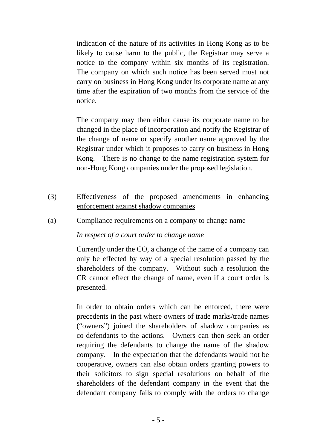indication of the nature of its activities in Hong Kong as to be likely to cause harm to the public, the Registrar may serve a notice to the company within six months of its registration. The company on which such notice has been served must not carry on business in Hong Kong under its corporate name at any time after the expiration of two months from the service of the notice.

The company may then either cause its corporate name to be changed in the place of incorporation and notify the Registrar of the change of name or specify another name approved by the Registrar under which it proposes to carry on business in Hong Kong. There is no change to the name registration system for non-Hong Kong companies under the proposed legislation.

- (3) Effectiveness of the proposed amendments in enhancing enforcement against shadow companies
- (a) Compliance requirements on a company to change name

# *In respect of a court order to change name*

Currently under the CO, a change of the name of a company can only be effected by way of a special resolution passed by the shareholders of the company. Without such a resolution the CR cannot effect the change of name, even if a court order is presented.

In order to obtain orders which can be enforced, there were precedents in the past where owners of trade marks/trade names ("owners") joined the shareholders of shadow companies as co-defendants to the actions. Owners can then seek an order requiring the defendants to change the name of the shadow company. In the expectation that the defendants would not be cooperative, owners can also obtain orders granting powers to their solicitors to sign special resolutions on behalf of the shareholders of the defendant company in the event that the defendant company fails to comply with the orders to change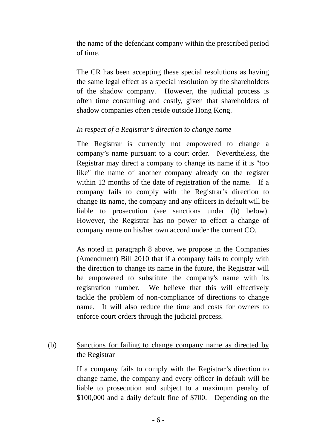the name of the defendant company within the prescribed period of time.

The CR has been accepting these special resolutions as having the same legal effect as a special resolution by the shareholders of the shadow company. However, the judicial process is often time consuming and costly, given that shareholders of shadow companies often reside outside Hong Kong.

# *In respect of a Registrar's direction to change name*

 The Registrar is currently not empowered to change a company's name pursuant to a court order. Nevertheless, the Registrar may direct a company to change its name if it is "too like" the name of another company already on the register within 12 months of the date of registration of the name. If a company fails to comply with the Registrar's direction to change its name, the company and any officers in default will be liable to prosecution (see sanctions under (b) below). However, the Registrar has no power to effect a change of company name on his/her own accord under the current CO.

As noted in paragraph 8 above, we propose in the Companies (Amendment) Bill 2010 that if a company fails to comply with the direction to change its name in the future, the Registrar will be empowered to substitute the company's name with its registration number. We believe that this will effectively tackle the problem of non-compliance of directions to change name. It will also reduce the time and costs for owners to enforce court orders through the judicial process.

# (b) Sanctions for failing to change company name as directed by the Registrar

If a company fails to comply with the Registrar's direction to change name, the company and every officer in default will be liable to prosecution and subject to a maximum penalty of \$100,000 and a daily default fine of \$700. Depending on the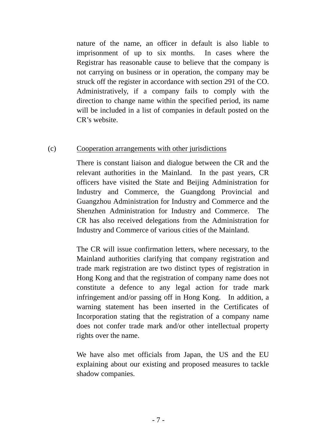nature of the name, an officer in default is also liable to imprisonment of up to six months. In cases where the Registrar has reasonable cause to believe that the company is not carrying on business or in operation, the company may be struck off the register in accordance with section 291 of the CO. Administratively, if a company fails to comply with the direction to change name within the specified period, its name will be included in a list of companies in default posted on the CR's website.

# (c) Cooperation arrangements with other jurisdictions

There is constant liaison and dialogue between the CR and the relevant authorities in the Mainland. In the past years, CR officers have visited the State and Beijing Administration for Industry and Commerce, the Guangdong Provincial and Guangzhou Administration for Industry and Commerce and the Shenzhen Administration for Industry and Commerce. The CR has also received delegations from the Administration for Industry and Commerce of various cities of the Mainland.

The CR will issue confirmation letters, where necessary, to the Mainland authorities clarifying that company registration and trade mark registration are two distinct types of registration in Hong Kong and that the registration of company name does not constitute a defence to any legal action for trade mark infringement and/or passing off in Hong Kong. In addition, a warning statement has been inserted in the Certificates of Incorporation stating that the registration of a company name does not confer trade mark and/or other intellectual property rights over the name.

We have also met officials from Japan, the US and the EU explaining about our existing and proposed measures to tackle shadow companies.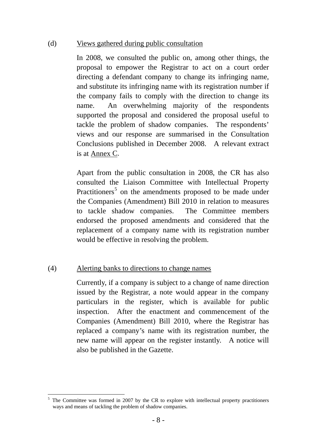## (d) Views gathered during public consultation

 In 2008, we consulted the public on, among other things, the proposal to empower the Registrar to act on a court order directing a defendant company to change its infringing name, and substitute its infringing name with its registration number if the company fails to comply with the direction to change its name. An overwhelming majority of the respondents supported the proposal and considered the proposal useful to tackle the problem of shadow companies. The respondents' views and our response are summarised in the Consultation Conclusions published in December 2008. A relevant extract is at Annex C.

Apart from the public consultation in 2008, the CR has also consulted the Liaison Committee with Intellectual Property Practitioners<sup>[5](#page-7-0)</sup> on the amendments proposed to be made under the Companies (Amendment) Bill 2010 in relation to measures to tackle shadow companies. The Committee members endorsed the proposed amendments and considered that the replacement of a company name with its registration number would be effective in resolving the problem.

# (4) Alerting banks to directions to change names

Currently, if a company is subject to a change of name direction issued by the Registrar, a note would appear in the company particulars in the register, which is available for public inspection. After the enactment and commencement of the Companies (Amendment) Bill 2010, where the Registrar has replaced a company's name with its registration number, the new name will appear on the register instantly. A notice will also be published in the Gazette.

<span id="page-7-0"></span><sup>&</sup>lt;u>.</u>  $5$  The Committee was formed in 2007 by the CR to explore with intellectual property practitioners ways and means of tackling the problem of shadow companies.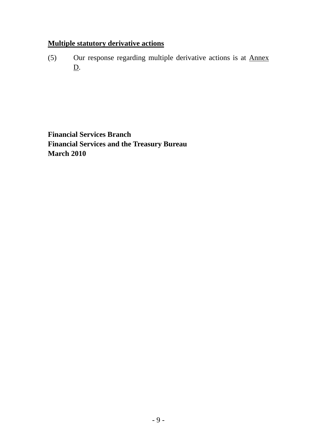# **Multiple statutory derivative actions**

(5) Our response regarding multiple derivative actions is at Annex D.

**Financial Services Branch Financial Services and the Treasury Bureau March 2010**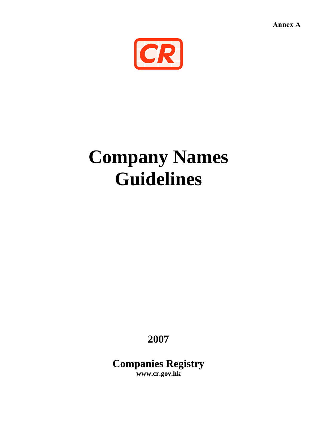**Annex A**



# **Company Names Guidelines**

**2007** 

**Companies Registry www.cr.gov.hk**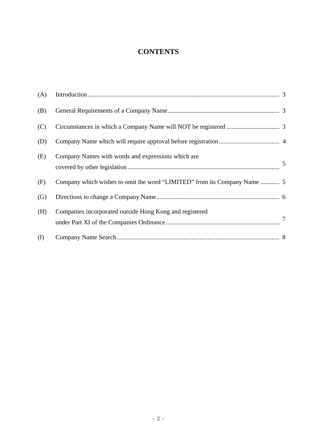# **CONTENTS**

| (A) |                                                                          |        |
|-----|--------------------------------------------------------------------------|--------|
| (B) |                                                                          |        |
| (C) |                                                                          |        |
| (D) |                                                                          |        |
| (E) | Company Names with words and expressions which are                       | 5      |
| (F) | Company which wishes to omit the word "LIMITED" from its Company Name  5 |        |
| (G) |                                                                          |        |
| (H) | Companies incorporated outside Hong Kong and registered                  | $\tau$ |
| (I) |                                                                          |        |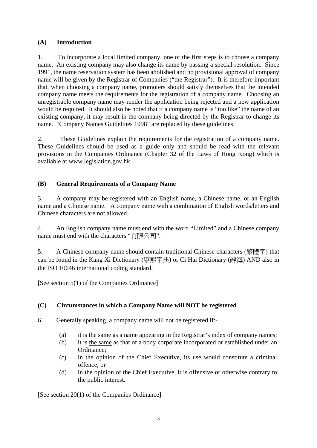#### **(A) Introduction**

1. To incorporate a local limited company, one of the first steps is to choose a company name. An existing company may also change its name by passing a special resolution. Since 1991, the name reservation system has been abolished and no provisional approval of company name will be given by the Registrar of Companies ("the Registrar"). It is therefore important that, when choosing a company name, promoters should satisfy themselves that the intended company name meets the requirements for the registration of a company name. Choosing an unregistrable company name may render the application being rejected and a new application would be required. It should also be noted that if a company name is "too like" the name of an existing company, it may result in the company being directed by the Registrar to change its name. "Company Names Guidelines 1998" are replaced by these guidelines.

2. These Guidelines explain the requirements for the registration of a company name. These Guidelines should be used as a guide only and should be read with the relevant provisions in the Companies Ordinance (Chapter 32 of the Laws of Hong Kong) which is available at www.legislation.gov.hk.

## **(B) General Requirements of a Company Name**

3. A company may be registered with an English name, a Chinese name, or an English name and a Chinese name. A company name with a combination of English words/letters and Chinese characters are not allowed.

4. An English company name must end with the word "Limited" and a Chinese company name must end with the characters "有限公司".

5. A Chinese company name should contain traditional Chinese characters (繁體字) that can be found in the Kang Xi Dictionary (康熙字典) or Ci Hai Dictionary (辭海) AND also in the ISO 10646 international coding standard.

[See section 5(1) of the Companies Ordinance]

#### **(C) Circumstances in which a Company Name will NOT be registered**

- 6. Generally speaking, a company name will not be registered if:-
	- (a) it is the same as a name appearing in the Registrar's index of company names;
	- (b) it is the same as that of a body corporate incorporated or established under an Ordinance;
	- (c) in the opinion of the Chief Executive, its use would constitute a criminal offence; or
	- (d) in the opinion of the Chief Executive, it is offensive or otherwise contrary to the public interest.

[See section 20(1) of the Companies Ordinance]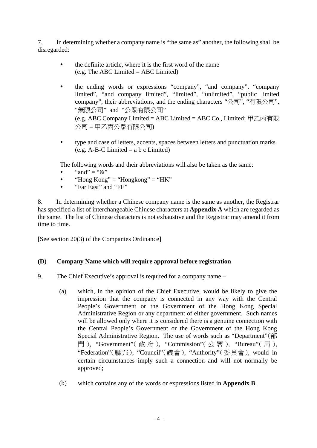7. In determining whether a company name is "the same as" another, the following shall be disregarded:

- the definite article, where it is the first word of the name (e.g. The ABC Limited = ABC Limited)
- the ending words or expressions "company", "and company", "company limited", "and company limited", "limited", "unlimited", "public limited company", their abbreviations, and the ending characters "公司", "有限公司", "無限公司" and "公眾有限公司" (e.g. ABC Company Limited = ABC Limited = ABC Co., Limited; 甲乙丙有限 公司 = 甲乙丙公眾有限公司)
- type and case of letters, accents, spaces between letters and punctuation marks  $(e.g. A-B-C Limited = a b c Limited)$

The following words and their abbreviations will also be taken as the same:

- " and" = " $\&$ "
- "Hong Kong" = "Hongkong" = "HK"
- "Far East" and "FE"

8. In determining whether a Chinese company name is the same as another, the Registrar has specified a list of interchangeable Chinese characters at **Appendix A** which are regarded as the same. The list of Chinese characters is not exhaustive and the Registrar may amend it from time to time.

[See section 20(3) of the Companies Ordinance]

#### **(D) Company Name which will require approval before registration**

- 9. The Chief Executive's approval is required for a company name
	- (a) which, in the opinion of the Chief Executive, would be likely to give the impression that the company is connected in any way with the Central People's Government or the Government of the Hong Kong Special Administrative Region or any department of either government. Such names will be allowed only where it is considered there is a genuine connection with the Central People's Government or the Government of the Hong Kong Special Administrative Region. The use of words such as "Department"(部 門 ), "Government"( 政 府 ), "Commission"( 公 署 ), "Bureau"( 局 ), "Federation"(聯邦), "Council"(議會), "Authority"(委員會), would in certain circumstances imply such a connection and will not normally be approved;
	- (b) which contains any of the words or expressions listed in **Appendix B**.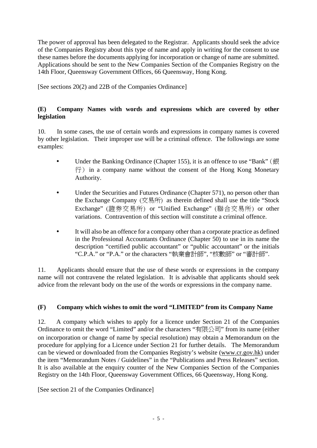The power of approval has been delegated to the Registrar. Applicants should seek the advice of the Companies Registry about this type of name and apply in writing for the consent to use these names before the documents applying for incorporation or change of name are submitted. Applications should be sent to the New Companies Section of the Companies Registry on the 14th Floor, Queensway Government Offices, 66 Queensway, Hong Kong.

[See sections 20(2) and 22B of the Companies Ordinance]

#### **(E) Company Names with words and expressions which are covered by other legislation**

10. In some cases, the use of certain words and expressions in company names is covered by other legislation. Their improper use will be a criminal offence. The followings are some examples:

- Under the Banking Ordinance (Chapter 155), it is an offence to use "Bank" (銀  $\overline{f}$ ) in a company name without the consent of the Hong Kong Monetary Authority.
- Under the Securities and Futures Ordinance (Chapter 571), no person other than the Exchange Company (交易所) as therein defined shall use the title "Stock Exchange" (證券交易所) or "Unified Exchange" (聯合交易所) or other variations. Contravention of this section will constitute a criminal offence.
- It will also be an offence for a company other than a corporate practice as defined in the Professional Accountants Ordinance (Chapter 50) to use in its name the description "certified public accountant" or "public accountant" or the initials "C.P.A." or "P.A." or the characters "執業會計師", "核數師" or "審計師".

11. Applicants should ensure that the use of these words or expressions in the company name will not contravene the related legislation. It is advisable that applicants should seek advice from the relevant body on the use of the words or expressions in the company name.

#### **(F) Company which wishes to omit the word "LIMITED" from its Company Name**

12. A company which wishes to apply for a licence under Section 21 of the Companies Ordinance to omit the word "Limited" and/or the characters "有限公司" from its name (either on incorporation or change of name by special resolution) may obtain a Memorandum on the procedure for applying for a Licence under Section 21 for further details. The Memorandum can be viewed or downloaded from the Companies Registry's website (www.cr.gov.hk) under the item "Memorandum Notes / Guidelines" in the "Publications and Press Releases" section. It is also available at the enquiry counter of the New Companies Section of the Companies Registry on the 14th Floor, Queensway Government Offices, 66 Queensway, Hong Kong.

[See section 21 of the Companies Ordinance]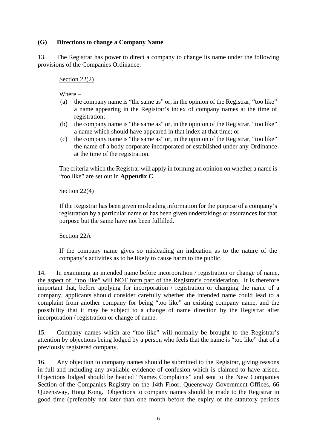#### **(G) Directions to change a Company Name**

13. The Registrar has power to direct a company to change its name under the following provisions of the Companies Ordinance:

#### Section 22(2)

Where –

- (a) the company name is "the same as" or, in the opinion of the Registrar, "too like" a name appearing in the Registrar's index of company names at the time of registration;
- (b) the company name is "the same as" or, in the opinion of the Registrar, "too like" a name which should have appeared in that index at that time; or
- (c) the company name is "the same as" or, in the opinion of the Registrar, "too like" the name of a body corporate incorporated or established under any Ordinance at the time of the registration.

The criteria which the Registrar will apply in forming an opinion on whether a name is "too like" are set out in **Appendix C**.

#### Section 22(4)

If the Registrar has been given misleading information for the purpose of a company's registration by a particular name or has been given undertakings or assurances for that purpose but the same have not been fulfilled.

#### Section 22A

If the company name gives so misleading an indication as to the nature of the company's activities as to be likely to cause harm to the public.

14. In examining an intended name before incorporation / registration or change of name, the aspect of "too like" will NOT form part of the Registrar's consideration. It is therefore important that, before applying for incorporation / registration or changing the name of a company, applicants should consider carefully whether the intended name could lead to a complaint from another company for being "too like" an existing company name, and the possibility that it may be subject to a change of name direction by the Registrar after incorporation / registration or change of name.

15. Company names which are "too like" will normally be brought to the Registrar's attention by objections being lodged by a person who feels that the name is "too like" that of a previously registered company.

16. Any objection to company names should be submitted to the Registrar, giving reasons in full and including any available evidence of confusion which is claimed to have arisen. Objections lodged should be headed "Names Complaints" and sent to the New Companies Section of the Companies Registry on the 14th Floor, Queensway Government Offices, 66 Queensway, Hong Kong. Objections to company names should be made to the Registrar in good time (preferably not later than one month before the expiry of the statutory periods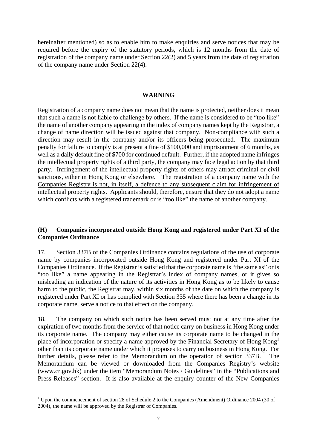hereinafter mentioned) so as to enable him to make enquiries and serve notices that may be required before the expiry of the statutory periods, which is 12 months from the date of registration of the company name under Section 22(2) and 5 years from the date of registration of the company name under Section 22(4).

#### **WARNING**

Registration of a company name does not mean that the name is protected, neither does it mean that such a name is not liable to challenge by others. If the name is considered to be "too like" the name of another company appearing in the index of company names kept by the Registrar, a change of name direction will be issued against that company. Non-compliance with such a direction may result in the company and/or its officers being prosecuted. The maximum penalty for failure to comply is at present a fine of \$100,000 and imprisonment of 6 months, as well as a daily default fine of \$700 for continued default. Further, if the adopted name infringes the intellectual property rights of a third party, the company may face legal action by that third party. Infringement of the intellectual property rights of others may attract criminal or civil sanctions, either in Hong Kong or elsewhere. The registration of a company name with the Companies Registry is not, in itself, a defence to any subsequent claim for infringement of intellectual property rights. Applicants should, therefore, ensure that they do not adopt a name which conflicts with a registered trademark or is "too like" the name of another company.

#### **(H) Companies incorporated outside Hong Kong and registered under Part XI of the Companies Ordinance**

17. Section 337B of the Companies Ordinance contains regulations of the use of corporate name by companies incorporated outside Hong Kong and registered under Part XI of the Companies Ordinance. If the Registrar is satisfied that the corporate name is "the same as" or is "too like" a name appearing in the Registrar's index of company names, or it gives so misleading an indication of the nature of its activities in Hong Kong as to be likely to cause harm to the public, the Registrar may, within six months of the date on which the company is registered under Part XI or has complied with Section 335 where there has been a change in its corporate name, serve a notice to that effect on the company.

18. The company on which such notice has been served must not at any time after the expiration of two months from the service of that notice carry on business in Hong Kong under its corporate name. The company may either cause its corporate name to be changed in the place of incorporation or specify a name approved by the Financial Secretary of Hong Kong1 other than its corporate name under which it proposes to carry on business in Hong Kong. For further details, please refer to the Memorandum on the operation of section 337B. The Memorandum can be viewed or downloaded from the Companies Registry's website (www.cr.gov.hk) under the item "Memorandum Notes / Guidelines" in the "Publications and Press Releases" section. It is also available at the enquiry counter of the New Companies

-

<sup>&</sup>lt;sup>1</sup> Upon the commencement of section 28 of Schedule 2 to the Companies (Amendment) Ordinance 2004 (30 of 2004), the name will be approved by the Registrar of Companies.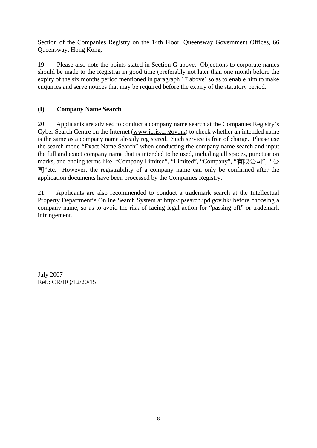Section of the Companies Registry on the 14th Floor, Queensway Government Offices, 66 Queensway, Hong Kong.

19. Please also note the points stated in Section G above. Objections to corporate names should be made to the Registrar in good time (preferably not later than one month before the expiry of the six months period mentioned in paragraph 17 above) so as to enable him to make enquiries and serve notices that may be required before the expiry of the statutory period.

### **(I) Company Name Search**

20. Applicants are advised to conduct a company name search at the Companies Registry's Cyber Search Centre on the Internet (www.icris.cr.gov.hk) to check whether an intended name is the same as a company name already registered. Such service is free of charge. Please use the search mode "Exact Name Search" when conducting the company name search and input the full and exact company name that is intended to be used, including all spaces, punctuation marks, and ending terms like "Company Limited", "Limited", "Company", "有限公司", "公 司"etc. However, the registrability of a company name can only be confirmed after the application documents have been processed by the Companies Registry.

21. Applicants are also recommended to conduct a trademark search at the Intellectual Property Department's Online Search System at http://ipsearch.ipd.gov.hk/ before choosing a company name, so as to avoid the risk of facing legal action for "passing off" or trademark infringement.

July 2007 Ref.: CR/HQ/12/20/15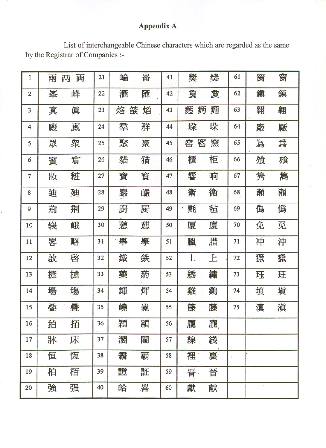# Appendix A

List of interchangeable Chinese characters which are regarded as the same by the Registrar of Companies :-

| $\mathbf{1}$            | 兩 | 両<br>两 | 21 | 崘      | 崙 | 41 | 奬              | 奬  | 61 | 窗             | 窗 |
|-------------------------|---|--------|----|--------|---|----|----------------|----|----|---------------|---|
| $\overline{2}$          | 峯 | 峰      | 22 | 滙      | 匯 | 42 | 敻              | 敻  | 62 | 鎭             | 鎮 |
| 3                       | 真 | 眞      | 23 | 燄<br>焰 | 熖 | 43 | 麫<br>麪         | 麵  | 63 | 翱             | 翶 |
| $\overline{\mathbf{4}}$ | 廄 | 廐      | 24 | 羣      | 群 | 44 | 垜              | 垛  | 64 | 廠             | 厰 |
| 5                       | 眾 | 衆      | 25 | 聚      | 聚 | 45 | 窰<br>窑         | 窯  | 65 | 為             | 爲 |
| 6                       | 賓 | 賔      | 26 | 貓      | 猫 | 46 | 櫃              | 柜· | 66 | 飧             | 飱 |
| $\tau$                  | 妝 | 粧      | 27 | 寶      | 寳 | 47 | 響              | 响  | 67 | 隽             | 雋 |
| 8                       | 迪 | 廸      | 28 | 巖      | 巗 | 48 | 衛              | 衞  | 68 | 瀬             | 瀨 |
| 9                       | 荊 | 荆      | 29 | 廚      | 厨 | 49 | 氈              | 毡  | 69 | 偽             | 僞 |
| 10                      | 峩 | 峨      | 30 | 憩      | 憇 | 50 | 厦              | 廈  | 70 | 免             | 觅 |
| 11                      | 畧 | 略      | 31 | 舉      | 擧 | 51 | 臘              | 腊  | 71 | 冲             | 沖 |
| 12                      | 敀 | 啓      | 32 | 鐵      | 鉄 | 52 | $\mathbf{I}$ . | 上  | 72 | 獵             | 獵 |
| 13                      | 捷 | 捷      | 33 | 藥      | 葯 | 53 | 綉              | 繡  | 73 | 珏             | 玨 |
| 14                      | 場 | 塲      | 34 | 輝      | 煇 | 54 | 雞              | 鷄  | 74 | 填             | 塡 |
| 15                      | 叠 | 疊      | 35 | 嶢      | 嶤 | 55 | 籐              | 藤  | 75 | 滇             | 滇 |
| 16                      | 拍 | 拓      | 36 | 穎      | 頴 | 56 | 龎              | 龐, |    |               |   |
| 17                      | 牀 | 床      | 37 | 濶      | 闊 | 57 | 線              | 綫  |    |               |   |
| 18                      | 恒 | 恆      | 38 | 霸      | 覇 | 58 | 裡              | 裏  | ÷. |               |   |
| 19                      | 柏 | 栢      | 39 | 證      | 証 | 59 | 晋              | 晉  |    |               |   |
| 20                      | 強 | 强      | 40 | 峆      | 峇 | 60 | 獻              | 献  |    | $\sim$ $\sim$ |   |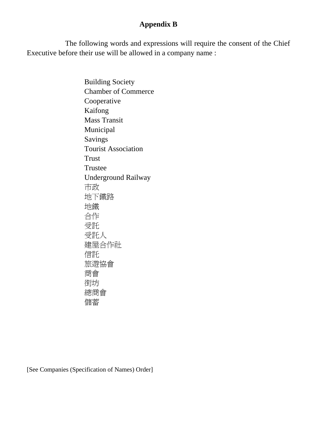# **Appendix B**

The following words and expressions will require the consent of the Chief Executive before their use will be allowed in a company name :

> Building Society Chamber of Commerce Cooperative Kaifong Mass Transit Municipal Savings Tourist Association Trust Trustee Underground Railway 市政 地下鐵路 地鐵 合作 受託 受託人 建屋合作社 信託 旅遊協會 商會 街坊 總商會 儲蓄

[See Companies (Specification of Names) Order]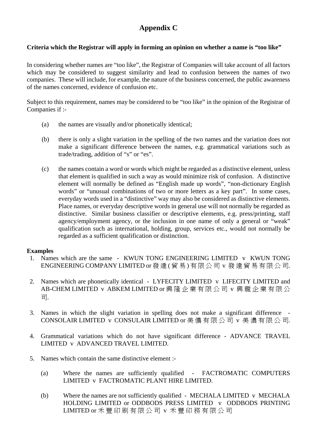# **Appendix C**

#### **Criteria which the Registrar will apply in forming an opinion on whether a name is "too like"**

In considering whether names are "too like", the Registrar of Companies will take account of all factors which may be considered to suggest similarity and lead to confusion between the names of two companies. These will include, for example, the nature of the business concerned, the public awareness of the names concerned, evidence of confusion etc.

Subject to this requirement, names may be considered to be "too like" in the opinion of the Registrar of Companies if :-

- (a) the names are visually and/or phonetically identical;
- (b) there is only a slight variation in the spelling of the two names and the variation does not make a significant difference between the names, e.g. grammatical variations such as trade/trading, addition of "s" or "es".
- (c) the names contain a word or words which might be regarded as a distinctive element, unless that element is qualified in such a way as would minimize risk of confusion. A distinctive element will normally be defined as "English made up words", "non-dictionary English words" or "unusual combinations of two or more letters as a key part". In some cases, everyday words used in a "distinctive" way may also be considered as distinctive elements. Place names, or everyday descriptive words in general use will not normally be regarded as distinctive. Similar business classifier or descriptive elements, e.g. press/printing, staff agency/employment agency, or the inclusion in one name of only a general or "weak" qualification such as international, holding, group, services etc., would not normally be regarded as a sufficient qualification or distinction.

#### **Examples**

- 1. Names which are the same KWUN TONG ENGINEERING LIMITED v KWUN TONG ENGINEERING COMPANY LIMITED or 發達 ( 貿 易 ) 有 限 公 司 v 發 達 貿 易 有 限 公 司.
- 2. Names which are phonetically identical LYFECITY LIMITED v LIFECITY LIMITED and AB-CHEM LIMITED v ABKEM LIMITED or 興 隆 企 業 有 限 公 司 v 興 龍 企 業 有 限 公 司.
- 3. Names in which the slight variation in spelling does not make a significant difference CONSOLAIR LIMITED v CONSULAIR LIMITED or 美 儂 有 限 公 司 v 美 濃 有 限 公 司.
- 4. Grammatical variations which do not have significant difference ADVANCE TRAVEL LIMITED v ADVANCED TRAVEL LIMITED.
- 5. Names which contain the same distinctive element :-
	- (a) Where the names are sufficiently qualified FACTROMATIC COMPUTERS LIMITED v FACTROMATIC PLANT HIRE LIMITED.
	- (b) Where the names are not sufficiently qualified MECHALA LIMITED v MECHALA HOLDING LIMITED or ODDBODS PRESS LIMITED v ODDBODS PRINTING LIMITED or 禾 豐 印 刷 有 限 公 司 v 禾 豐 印 務 有 限 公 司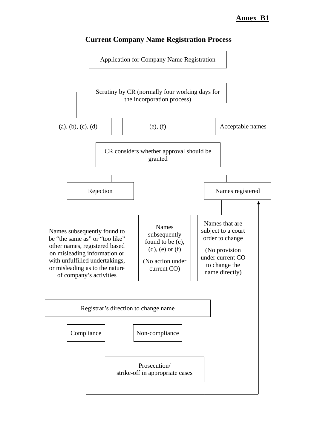

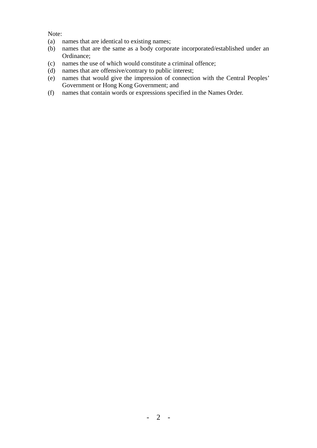Note:

- (a) names that are identical to existing names;
- (b) names that are the same as a body corporate incorporated/established under an Ordinance;
- (c) names the use of which would constitute a criminal offence;
- (d) names that are offensive/contrary to public interest;
- (e) names that would give the impression of connection with the Central Peoples' Government or Hong Kong Government; and
- (f) names that contain words or expressions specified in the Names Order.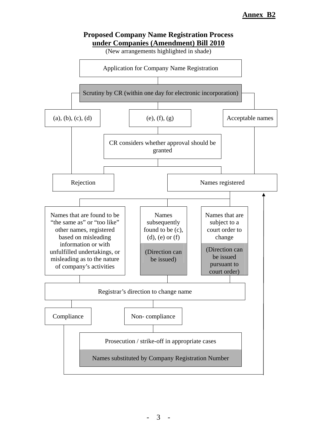

# $- 3 -$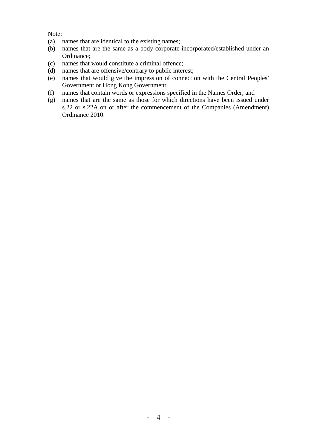Note:

- (a) names that are identical to the existing names;
- (b) names that are the same as a body corporate incorporated/established under an Ordinance;
- (c) names that would constitute a criminal offence;
- (d) names that are offensive/contrary to public interest;
- (e) names that would give the impression of connection with the Central Peoples' Government or Hong Kong Government;
- (f) names that contain words or expressions specified in the Names Order; and
- (g) names that are the same as those for which directions have been issued under s.22 or s.22A on or after the commencement of the Companies (Amendment) Ordinance 2010.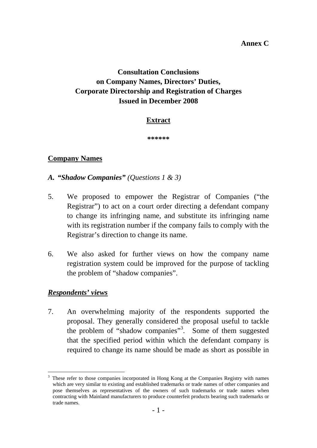# **Consultation Conclusions on Company Names, Directors' Duties, Corporate Directorship and Registration of Charges Issued in December 2008**

# **Extract**

**\*\*\*\*\*\*** 

# **Company Names**

- *A. "Shadow Companies" (Questions 1 & 3)*
- 5. We proposed to empower the Registrar of Companies ("the Registrar") to act on a court order directing a defendant company to change its infringing name, and substitute its infringing name with its registration number if the company fails to comply with the Registrar's direction to change its name.
- 6. We also asked for further views on how the company name registration system could be improved for the purpose of tackling the problem of "shadow companies".

# *Respondents' views*

7. An overwhelming majority of the respondents supported the proposal. They generally considered the proposal useful to tackle the problem of "shadow companies"<sup>3</sup>. Some of them suggested that the specified period within which the defendant company is required to change its name should be made as short as possible in

<sup>&</sup>lt;u>.</u> 3 These refer to those companies incorporated in Hong Kong at the Companies Registry with names which are very similar to existing and established trademarks or trade names of other companies and pose themselves as representatives of the owners of such trademarks or trade names when contracting with Mainland manufacturers to produce counterfeit products bearing such trademarks or trade names.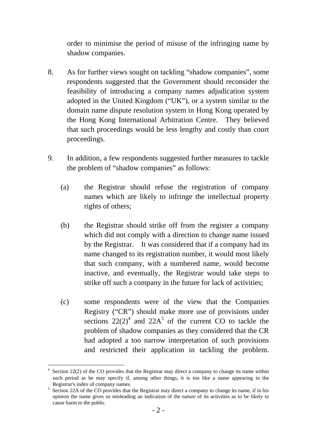order to minimise the period of misuse of the infringing name by shadow companies.

- 8. As for further views sought on tackling "shadow companies", some respondents suggested that the Government should reconsider the feasibility of introducing a company names adjudication system adopted in the United Kingdom ("UK"), or a system similar to the domain name dispute resolution system in Hong Kong operated by the Hong Kong International Arbitration Centre. They believed that such proceedings would be less lengthy and costly than court proceedings.
- 9. In addition, a few respondents suggested further measures to tackle the problem of "shadow companies" as follows:
	- (a) the Registrar should refuse the registration of company names which are likely to infringe the intellectual property rights of others;
	- (b) the Registrar should strike off from the register a company which did not comply with a direction to change name issued by the Registrar. It was considered that if a company had its name changed to its registration number, it would most likely that such company, with a numbered name, would become inactive, and eventually, the Registrar would take steps to strike off such a company in the future for lack of activities;
	- (c) some respondents were of the view that the Companies Registry ("CR") should make more use of provisions under sections  $22(2)^4$  and  $22A^5$  of the current CO to tackle the problem of shadow companies as they considered that the CR had adopted a too narrow interpretation of such provisions and restricted their application in tackling the problem.

1

 $4$  Section 22(2) of the CO provides that the Registrar may direct a company to change its name within such period as he may specify if, among other things, it is too like a name appearing in the Registrar's index of company names.

<sup>&</sup>lt;sup>5</sup> Section 22A of the CO provides that the Registrar may direct a company to change its name, if in his opinion the name gives so misleading an indication of the nature of its activities as to be likely to cause harm to the public.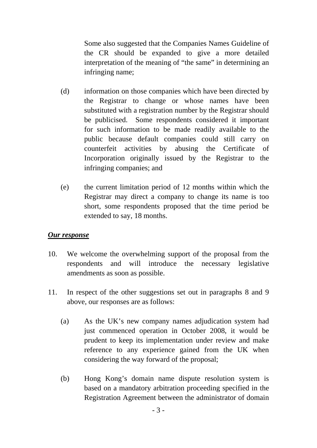Some also suggested that the Companies Names Guideline of the CR should be expanded to give a more detailed interpretation of the meaning of "the same" in determining an infringing name;

- (d) information on those companies which have been directed by the Registrar to change or whose names have been substituted with a registration number by the Registrar should be publicised. Some respondents considered it important for such information to be made readily available to the public because default companies could still carry on counterfeit activities by abusing the Certificate of Incorporation originally issued by the Registrar to the infringing companies; and
- (e) the current limitation period of 12 months within which the Registrar may direct a company to change its name is too short, some respondents proposed that the time period be extended to say, 18 months.

#### *Our response*

- 10. We welcome the overwhelming support of the proposal from the respondents and will introduce the necessary legislative amendments as soon as possible.
- 11. In respect of the other suggestions set out in paragraphs 8 and 9 above, our responses are as follows:
	- (a) As the UK's new company names adjudication system had just commenced operation in October 2008, it would be prudent to keep its implementation under review and make reference to any experience gained from the UK when considering the way forward of the proposal;
	- (b) Hong Kong's domain name dispute resolution system is based on a mandatory arbitration proceeding specified in the Registration Agreement between the administrator of domain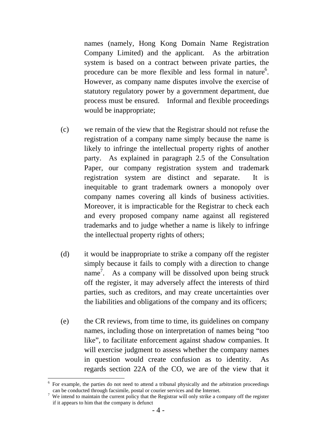names (namely, Hong Kong Domain Name Registration Company Limited) and the applicant. As the arbitration system is based on a contract between private parties, the procedure can be more flexible and less formal in nature<sup>6</sup>. However, as company name disputes involve the exercise of statutory regulatory power by a government department, due process must be ensured. Informal and flexible proceedings would be inappropriate;

- (c) we remain of the view that the Registrar should not refuse the registration of a company name simply because the name is likely to infringe the intellectual property rights of another party. As explained in paragraph 2.5 of the Consultation Paper, our company registration system and trademark registration system are distinct and separate. It is inequitable to grant trademark owners a monopoly over company names covering all kinds of business activities. Moreover, it is impracticable for the Registrar to check each and every proposed company name against all registered trademarks and to judge whether a name is likely to infringe the intellectual property rights of others;
- (d) it would be inappropriate to strike a company off the register simply because it fails to comply with a direction to change name<sup>7</sup>. As a company will be dissolved upon being struck off the register, it may adversely affect the interests of third parties, such as creditors, and may create uncertainties over the liabilities and obligations of the company and its officers;
- (e) the CR reviews, from time to time, its guidelines on company names, including those on interpretation of names being "too like", to facilitate enforcement against shadow companies. It will exercise judgment to assess whether the company names in question would create confusion as to identity. As regards section 22A of the CO, we are of the view that it

1

<sup>&</sup>lt;sup>6</sup> For example, the parties do not need to attend a tribunal physically and the arbitration proceedings can be conducted through facsimile, postal or courier services and the Internet.

 $\frac{1}{\sqrt{2}}$  We intend to maintain the current policy that the Registrar will only strike a company off the register if it appears to him that the company is defunct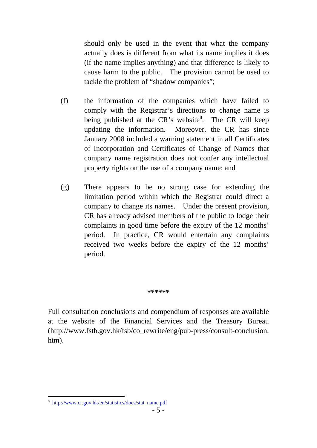should only be used in the event that what the company actually does is different from what its name implies it does (if the name implies anything) and that difference is likely to cause harm to the public. The provision cannot be used to tackle the problem of "shadow companies";

- (f) the information of the companies which have failed to comply with the Registrar's directions to change name is being published at the CR's website<sup>8</sup>. The CR will keep updating the information. Moreover, the CR has since January 2008 included a warning statement in all Certificates of Incorporation and Certificates of Change of Names that company name registration does not confer any intellectual property rights on the use of a company name; and
- (g) There appears to be no strong case for extending the limitation period within which the Registrar could direct a company to change its names. Under the present provision, CR has already advised members of the public to lodge their complaints in good time before the expiry of the 12 months' period. In practice, CR would entertain any complaints received two weeks before the expiry of the 12 months' period.

#### **\*\*\*\*\*\***

Full consultation conclusions and compendium of responses are available at the website of the Financial Services and the Treasury Bureau (http://www.fstb.gov.hk/fsb/co\_rewrite/eng/pub-press/consult-conclusion. htm).

1

<sup>8</sup> http://www.cr.gov.hk/en/statistics/docs/stat\_name.pdf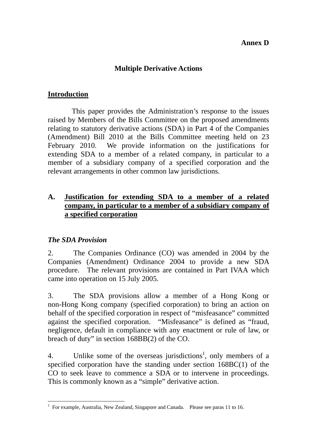## **Annex D**

# **Multiple Derivative Actions**

# **Introduction**

 This paper provides the Administration's response to the issues raised by Members of the Bills Committee on the proposed amendments relating to statutory derivative actions (SDA) in Part 4 of the Companies (Amendment) Bill 2010 at the Bills Committee meeting held on 23 February 2010. We provide information on the justifications for extending SDA to a member of a related company, in particular to a member of a subsidiary company of a specified corporation and the relevant arrangements in other common law jurisdictions.

# **A. Justification for extending SDA to a member of a related company, in particular to a member of a subsidiary company of a specified corporation**

# *The SDA Provision*

2. The Companies Ordinance (CO) was amended in 2004 by the Companies (Amendment) Ordinance 2004 to provide a new SDA procedure. The relevant provisions are contained in Part IVAA which came into operation on 15 July 2005.

3. The SDA provisions allow a member of a Hong Kong or non-Hong Kong company (specified corporation) to bring an action on behalf of the specified corporation in respect of "misfeasance" committed against the specified corporation. "Misfeasance" is defined as "fraud, negligence, default in compliance with any enactment or rule of law, or breach of duty" in section 168BB(2) of the CO.

4. Unlike some of the overseas jurisdictions<sup>1</sup>, only members of a specified corporation have the standing under section 168BC(1) of the CO to seek leave to commence a SDA or to intervene in proceedings. This is commonly known as a "simple" derivative action.

 $\overline{a}$ <sup>1</sup> For example, Australia, New Zealand, Singapore and Canada. Please see paras 11 to 16.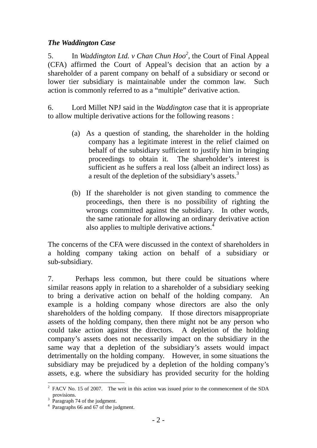# *The Waddington Case*

5. In *Waddington Ltd. v Chan Chun Hoo*<sup>2</sup>, the Court of Final Appeal (CFA) affirmed the Court of Appeal's decision that an action by a shareholder of a parent company on behalf of a subsidiary or second or lower tier subsidiary is maintainable under the common law. Such action is commonly referred to as a "multiple" derivative action.

6. Lord Millet NPJ said in the *Waddington* case that it is appropriate to allow multiple derivative actions for the following reasons :

- (a) As a question of standing, the shareholder in the holding company has a legitimate interest in the relief claimed on behalf of the subsidiary sufficient to justify him in bringing proceedings to obtain it. The shareholder's interest is sufficient as he suffers a real loss (albeit an indirect loss) as a result of the depletion of the subsidiary's assets.<sup>3</sup>
- (b) If the shareholder is not given standing to commence the proceedings, then there is no possibility of righting the wrongs committed against the subsidiary. In other words, the same rationale for allowing an ordinary derivative action also applies to multiple derivative actions.<sup>4</sup>

The concerns of the CFA were discussed in the context of shareholders in a holding company taking action on behalf of a subsidiary or sub-subsidiary.

7. Perhaps less common, but there could be situations where similar reasons apply in relation to a shareholder of a subsidiary seeking to bring a derivative action on behalf of the holding company. An example is a holding company whose directors are also the only shareholders of the holding company. If those directors misappropriate assets of the holding company, then there might not be any person who could take action against the directors. A depletion of the holding company's assets does not necessarily impact on the subsidiary in the same way that a depletion of the subsidiary's assets would impact detrimentally on the holding company. However, in some situations the subsidiary may be prejudiced by a depletion of the holding company's assets, e.g. where the subsidiary has provided security for the holding

 $\overline{a}$  $2^2$  FACV No. 15 of 2007. The writ in this action was issued prior to the commencement of the SDA provisions. 3 Paragraph 74 of the judgment.

<sup>4</sup> Paragraphs 66 and 67 of the judgment.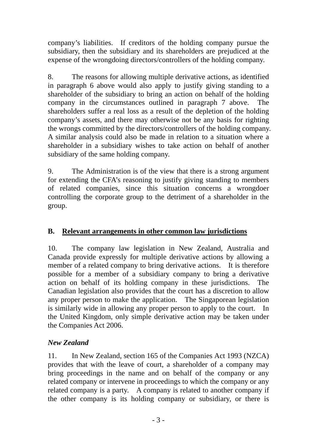company's liabilities. If creditors of the holding company pursue the subsidiary, then the subsidiary and its shareholders are prejudiced at the expense of the wrongdoing directors/controllers of the holding company.

8. The reasons for allowing multiple derivative actions, as identified in paragraph 6 above would also apply to justify giving standing to a shareholder of the subsidiary to bring an action on behalf of the holding company in the circumstances outlined in paragraph 7 above. The shareholders suffer a real loss as a result of the depletion of the holding company's assets, and there may otherwise not be any basis for righting the wrongs committed by the directors/controllers of the holding company. A similar analysis could also be made in relation to a situation where a shareholder in a subsidiary wishes to take action on behalf of another subsidiary of the same holding company.

9. The Administration is of the view that there is a strong argument for extending the CFA's reasoning to justify giving standing to members of related companies, since this situation concerns a wrongdoer controlling the corporate group to the detriment of a shareholder in the group.

# **B. Relevant arrangements in other common law jurisdictions**

10. The company law legislation in New Zealand, Australia and Canada provide expressly for multiple derivative actions by allowing a member of a related company to bring derivative actions. It is therefore possible for a member of a subsidiary company to bring a derivative action on behalf of its holding company in these jurisdictions. The Canadian legislation also provides that the court has a discretion to allow any proper person to make the application. The Singaporean legislation is similarly wide in allowing any proper person to apply to the court. In the United Kingdom, only simple derivative action may be taken under the Companies Act 2006.

# *New Zealand*

11. In New Zealand, section 165 of the Companies Act 1993 (NZCA) provides that with the leave of court, a shareholder of a company may bring proceedings in the name and on behalf of the company or any related company or intervene in proceedings to which the company or any related company is a party. A company is related to another company if the other company is its holding company or subsidiary, or there is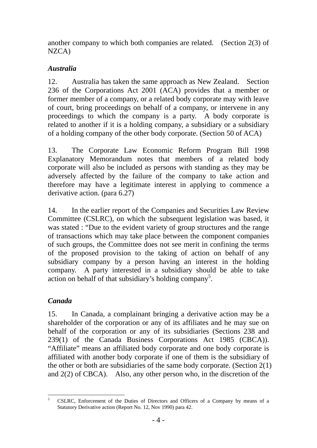another company to which both companies are related. (Section 2(3) of NZCA)

# *Australia*

12. Australia has taken the same approach as New Zealand. Section 236 of the Corporations Act 2001 (ACA) provides that a member or former member of a company, or a related body corporate may with leave of court, bring proceedings on behalf of a company, or intervene in any proceedings to which the company is a party. A body corporate is related to another if it is a holding company, a subsidiary or a subsidiary of a holding company of the other body corporate. (Section 50 of ACA)

13. The Corporate Law Economic Reform Program Bill 1998 Explanatory Memorandum notes that members of a related body corporate will also be included as persons with standing as they may be adversely affected by the failure of the company to take action and therefore may have a legitimate interest in applying to commence a derivative action. (para 6.27)

14. In the earlier report of the Companies and Securities Law Review Committee (CSLRC), on which the subsequent legislation was based, it was stated : "Due to the evident variety of group structures and the range of transactions which may take place between the component companies of such groups, the Committee does not see merit in confining the terms of the proposed provision to the taking of action on behalf of any subsidiary company by a person having an interest in the holding company. A party interested in a subsidiary should be able to take action on behalf of that subsidiary's holding company<sup>5</sup>.

# *Canada*

15. In Canada, a complainant bringing a derivative action may be a shareholder of the corporation or any of its affiliates and he may sue on behalf of the corporation or any of its subsidiaries (Sections 238 and 239(1) of the Canada Business Corporations Act 1985 (CBCA)). "Affiliate" means an affiliated body corporate and one body corporate is affiliated with another body corporate if one of them is the subsidiary of the other or both are subsidiaries of the same body corporate. (Section 2(1) and 2(2) of CBCA). Also, any other person who, in the discretion of the

 5 CSLRC, Enforcement of the Duties of Directors and Officers of a Company by means of a Statutory Derivative action (Report No. 12, Nov 1990) para 42.